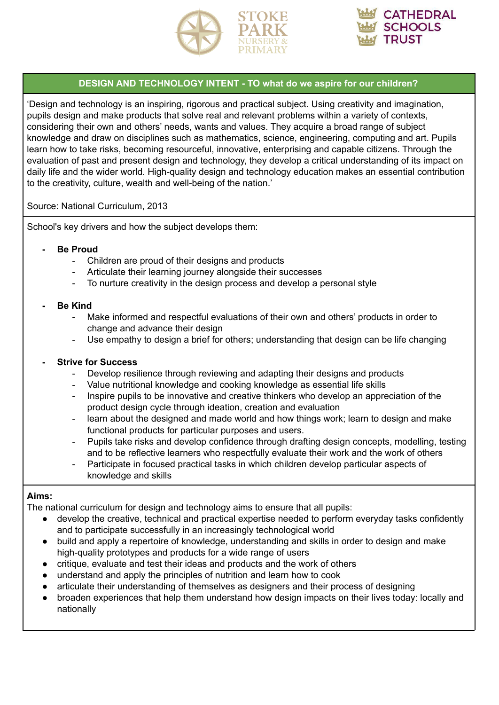



## **DESIGN AND TECHNOLOGY INTENT - TO what do we aspire for our children?**

'Design and technology is an inspiring, rigorous and practical subject. Using creativity and imagination, pupils design and make products that solve real and relevant problems within a variety of contexts, considering their own and others' needs, wants and values. They acquire a broad range of subject knowledge and draw on disciplines such as mathematics, science, engineering, computing and art. Pupils learn how to take risks, becoming resourceful, innovative, enterprising and capable citizens. Through the evaluation of past and present design and technology, they develop a critical understanding of its impact on daily life and the wider world. High-quality design and technology education makes an essential contribution to the creativity, culture, wealth and well-being of the nation.'

#### Source: National Curriculum, 2013

School's key drivers and how the subject develops them:

#### **- Be Proud**

- Children are proud of their designs and products
- Articulate their learning journey alongside their successes
- To nurture creativity in the design process and develop a personal style

#### **- Be Kind**

- Make informed and respectful evaluations of their own and others' products in order to change and advance their design
- Use empathy to design a brief for others; understanding that design can be life changing

## **- Strive for Success**

- Develop resilience through reviewing and adapting their designs and products
- Value nutritional knowledge and cooking knowledge as essential life skills
- Inspire pupils to be innovative and creative thinkers who develop an appreciation of the product design cycle through ideation, creation and evaluation
- learn about the designed and made world and how things work; learn to design and make functional products for particular purposes and users.
- Pupils take risks and develop confidence through drafting design concepts, modelling, testing and to be reflective learners who respectfully evaluate their work and the work of others
- Participate in focused practical tasks in which children develop particular aspects of knowledge and skills

## **Aims:**

The national curriculum for design and technology aims to ensure that all pupils:

- develop the creative, technical and practical expertise needed to perform everyday tasks confidently and to participate successfully in an increasingly technological world
- build and apply a repertoire of knowledge, understanding and skills in order to design and make high-quality prototypes and products for a wide range of users
- critique, evaluate and test their ideas and products and the work of others
- understand and apply the principles of nutrition and learn how to cook
- articulate their understanding of themselves as designers and their process of designing
- broaden experiences that help them understand how design impacts on their lives today: locally and nationally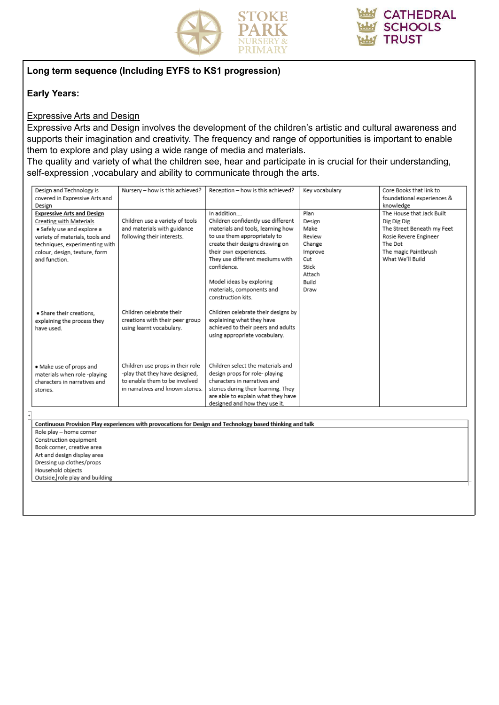

## **Long term sequence (Including EYFS to KS1 progression)**

#### **Early Years:**

#### Expressive Arts and Design

Expressive Arts and Design involves the development of the children's artistic and cultural awareness and supports their imagination and creativity. The frequency and range of opportunities is important to enable them to explore and play using a wide range of media and materials.

The quality and variety of what the children see, hear and participate in is crucial for their understanding, self-expression ,vocabulary and ability to communicate through the arts.

| Design and Technology is          | Nursery - how is this achieved?  | Reception - how is this achieved?                                                                         | Key vocabulary | Core Books that link to    |  |
|-----------------------------------|----------------------------------|-----------------------------------------------------------------------------------------------------------|----------------|----------------------------|--|
| covered in Expressive Arts and    |                                  |                                                                                                           |                | foundational experiences & |  |
| Design                            |                                  |                                                                                                           |                | knowledge                  |  |
| <b>Expressive Arts and Design</b> |                                  | In addition                                                                                               | Plan           | The House that Jack Built  |  |
| Creating with Materials           | Children use a variety of tools  | Children confidently use different                                                                        | Design         | Dig Dig Dig                |  |
| · Safely use and explore a        | and materials with guidance      | materials and tools, learning how                                                                         | Make           | The Street Beneath my Feet |  |
| variety of materials, tools and   | following their interests.       | to use them appropriately to                                                                              | Review         | Rosie Revere Engineer      |  |
| techniques, experimenting with    |                                  | create their designs drawing on                                                                           | Change         | The Dot                    |  |
| colour, design, texture, form     |                                  | their own experiences.                                                                                    | Improve        | The magic Paintbrush       |  |
| and function.                     |                                  | They use different mediums with                                                                           | Cut            | What We'll Build           |  |
|                                   |                                  | confidence.                                                                                               | Stick          |                            |  |
|                                   |                                  |                                                                                                           | Attach         |                            |  |
|                                   |                                  | Model ideas by exploring                                                                                  | Build          |                            |  |
|                                   |                                  | materials, components and                                                                                 | Draw           |                            |  |
|                                   |                                  | construction kits.                                                                                        |                |                            |  |
|                                   |                                  |                                                                                                           |                |                            |  |
| · Share their creations,          | Children celebrate their         | Children celebrate their designs by                                                                       |                |                            |  |
| explaining the process they       | creations with their peer group  | explaining what they have                                                                                 |                |                            |  |
| have used.                        | using learnt vocabulary.         | achieved to their peers and adults                                                                        |                |                            |  |
|                                   |                                  | using appropriate vocabulary.                                                                             |                |                            |  |
|                                   |                                  |                                                                                                           |                |                            |  |
|                                   |                                  |                                                                                                           |                |                            |  |
| · Make use of props and           | Children use props in their role | Children select the materials and                                                                         |                |                            |  |
| materials when role -playing      | -play that they have designed.   | design props for role- playing                                                                            |                |                            |  |
| characters in narratives and      | to enable them to be involved    | characters in narratives and                                                                              |                |                            |  |
| stories.                          | in narratives and known stories. | stories during their learning. They                                                                       |                |                            |  |
|                                   |                                  | are able to explain what they have                                                                        |                |                            |  |
|                                   |                                  | designed and how they use it.                                                                             |                |                            |  |
|                                   |                                  |                                                                                                           |                |                            |  |
|                                   |                                  | Continuous Provision Play experiences with provocations for Design and Technology based thinking and talk |                |                            |  |
| Role play - home corner           |                                  |                                                                                                           |                |                            |  |
| Construction equipment            |                                  |                                                                                                           |                |                            |  |
| Book corner, creative area        |                                  |                                                                                                           |                |                            |  |
| Art and design display area       |                                  |                                                                                                           |                |                            |  |
| Dressing up clothes/props         |                                  |                                                                                                           |                |                            |  |
| Household objects                 |                                  |                                                                                                           |                |                            |  |
| Outside, role play and building   |                                  |                                                                                                           |                |                            |  |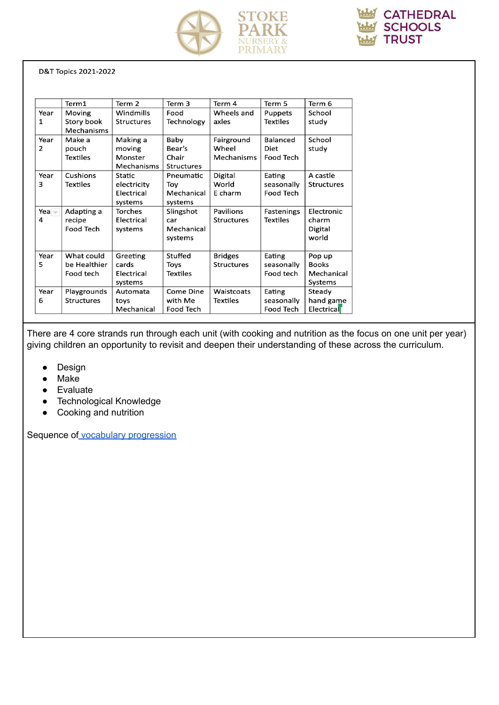



D&T Topics 2021-2022

| Term 2<br>Term 3<br>Term 6<br>Term1<br>Term 4<br>Term 5<br>Windmills<br>School<br>Food<br>Wheels and<br>Year<br>Moving<br>Puppets<br>Story book<br>Technology<br>axles<br><b>Textiles</b><br>1<br><b>Structures</b><br>study |  |
|------------------------------------------------------------------------------------------------------------------------------------------------------------------------------------------------------------------------------|--|
|                                                                                                                                                                                                                              |  |
|                                                                                                                                                                                                                              |  |
|                                                                                                                                                                                                                              |  |
| Mechanisms                                                                                                                                                                                                                   |  |
| School<br>Baby<br><b>Balanced</b><br>Year<br>Make a<br>Making a<br>Fairground                                                                                                                                                |  |
| Bear's<br>Wheel<br>2<br>pouch<br>Diet<br>study<br>moving                                                                                                                                                                     |  |
| Chair<br>Mechanisms<br><b>Food Tech</b><br>Textiles<br>Monster                                                                                                                                                               |  |
| Mechanisms<br><b>Structures</b>                                                                                                                                                                                              |  |
| Cushions<br>A castle<br>Digital<br>Year<br>Static<br>Eating<br>Pneumatic                                                                                                                                                     |  |
| 3<br>World<br><b>Textiles</b><br>electricity<br>Toy<br>seasonally<br><b>Structures</b>                                                                                                                                       |  |
| Mechanical<br>E charm<br><b>Food Tech</b><br>Electrical                                                                                                                                                                      |  |
| systems<br>systems                                                                                                                                                                                                           |  |
| Electronic<br>Adapting a<br><b>Torches</b><br>Slingshot<br>Pavilions<br>Yea —<br>Fastenings                                                                                                                                  |  |
| Electrical<br>Textiles<br>4<br>recipe<br><b>Structures</b><br>charm<br>car                                                                                                                                                   |  |
| <b>Food Tech</b><br>Mechanical<br>Digital<br>systems                                                                                                                                                                         |  |
| world<br>systems                                                                                                                                                                                                             |  |
|                                                                                                                                                                                                                              |  |
| What could<br>Year<br>Stuffed<br>Greeting<br><b>Bridges</b><br>Eating<br>Pop up                                                                                                                                              |  |
| 5<br><b>Books</b><br>be Healthier<br>cards<br><b>Structures</b><br>seasonally<br>Toys                                                                                                                                        |  |
| Food tech<br>Mechanical<br>Food tech<br>Electrical<br><b>Textiles</b>                                                                                                                                                        |  |
| Systems<br>systems                                                                                                                                                                                                           |  |
| Year<br>Come Dine<br>Steady<br>Playgrounds<br>Waistcoats<br>Eating<br>Automata                                                                                                                                               |  |
| with Me<br>Textiles<br>hand game<br>6<br><b>Structures</b><br>seasonally<br>toys                                                                                                                                             |  |
| Mechanical<br>Food Tech<br>Electrical<br>Food Tech                                                                                                                                                                           |  |

There are 4 core strands run through each unit (with cooking and nutrition as the focus on one unit per year) giving children an opportunity to revisit and deepen their understanding of these across the curriculum.

- Design
- Make
- Evaluate
- Technological Knowledge
- Cooking and nutrition

Sequence of vocabulary [progression](https://drive.google.com/file/d/1uVn5kkGR7nXSDC09nymdlSJZPD5oCD_D/view?usp=sharing)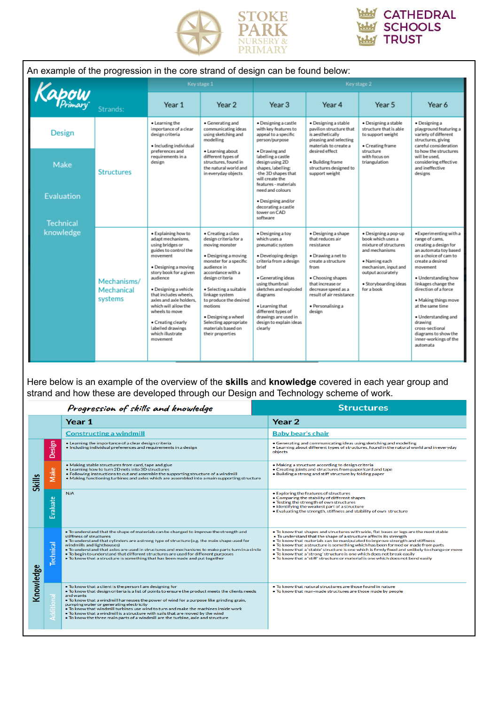

| An example of the progression in the core strand of design can be found below: |                                                                                                                                                             |                                                                                                                                                                                                                                                                                                                                                                   |                                                                                                                                                                                                                                                                                                                                                   |                                                                                                                                                                                                                                                                                                      |                                                                                                                                                                                                                                      |                                                                                                                                                                                           |                                                                                                                                                                                                                                                                                                                                                                                        |
|--------------------------------------------------------------------------------|-------------------------------------------------------------------------------------------------------------------------------------------------------------|-------------------------------------------------------------------------------------------------------------------------------------------------------------------------------------------------------------------------------------------------------------------------------------------------------------------------------------------------------------------|---------------------------------------------------------------------------------------------------------------------------------------------------------------------------------------------------------------------------------------------------------------------------------------------------------------------------------------------------|------------------------------------------------------------------------------------------------------------------------------------------------------------------------------------------------------------------------------------------------------------------------------------------------------|--------------------------------------------------------------------------------------------------------------------------------------------------------------------------------------------------------------------------------------|-------------------------------------------------------------------------------------------------------------------------------------------------------------------------------------------|----------------------------------------------------------------------------------------------------------------------------------------------------------------------------------------------------------------------------------------------------------------------------------------------------------------------------------------------------------------------------------------|
|                                                                                |                                                                                                                                                             |                                                                                                                                                                                                                                                                                                                                                                   | Key stage 1                                                                                                                                                                                                                                                                                                                                       |                                                                                                                                                                                                                                                                                                      |                                                                                                                                                                                                                                      | Key stage 2                                                                                                                                                                               |                                                                                                                                                                                                                                                                                                                                                                                        |
| Kapow                                                                          | Strands:                                                                                                                                                    | Year 1                                                                                                                                                                                                                                                                                                                                                            | Year 2                                                                                                                                                                                                                                                                                                                                            | Year <sub>3</sub>                                                                                                                                                                                                                                                                                    | Year 4                                                                                                                                                                                                                               | Year 5                                                                                                                                                                                    | Year 6                                                                                                                                                                                                                                                                                                                                                                                 |
| Design                                                                         | • Learning the<br>importance of a clear<br>design criteria<br>· Including individual<br>preferences and<br>requirements in a<br>design<br><b>Structures</b> |                                                                                                                                                                                                                                                                                                                                                                   | • Generating and<br>communicating ideas<br>using sketching and<br>modelling                                                                                                                                                                                                                                                                       | · Designing a castle<br>with key features to<br>appeal to a specific<br>person/purpose                                                                                                                                                                                                               | · Designing a stable<br>pavilion structure that<br>is aesthetically<br>pleasing and selecting<br>materials to create a                                                                                                               | · Designing a stable<br>structure that is able<br>to support weight<br>• Creating frame                                                                                                   | · Designing a<br>playground featuring a<br>variety of different<br>structures, giving<br>careful consideration                                                                                                                                                                                                                                                                         |
| Make                                                                           |                                                                                                                                                             | · Learning about<br>different types of<br>structures, found in<br>the natural world and<br>in everyday objects                                                                                                                                                                                                                                                    | · Drawing and<br>labelling a castle<br>design using 2D<br>shapes, labelling:<br>-the 3D shapes that<br>will create the<br>features - materials                                                                                                                                                                                                    | desired effect<br>· Building frame<br>structures designed to<br>support weight                                                                                                                                                                                                                       | structure<br>with focus on<br>triangulation                                                                                                                                                                                          | to how the structures<br>will be used.<br>considering effective<br>and ineffective<br>designs                                                                                             |                                                                                                                                                                                                                                                                                                                                                                                        |
| Evaluation                                                                     |                                                                                                                                                             |                                                                                                                                                                                                                                                                                                                                                                   |                                                                                                                                                                                                                                                                                                                                                   | need and colours.<br>· Designing and/or<br>decorating a castle<br>tower on CAD<br>software                                                                                                                                                                                                           |                                                                                                                                                                                                                                      |                                                                                                                                                                                           |                                                                                                                                                                                                                                                                                                                                                                                        |
| <b>Technical</b><br>knowledge                                                  | Mechanisms/<br>Mechanical<br>systems                                                                                                                        | · Explaining how to<br>adapt mechanisms.<br>using bridges or<br>guides to control the<br>movement<br>• Designing a moving<br>story book for a given<br>audience<br>· Designing a vehicle<br>that includes wheels.<br>axles and axle holders.<br>which will allow the<br>wheels to move<br>• Creating clearly<br>labelled drawings<br>which illustrate<br>movement | • Creating a class<br>design criteria for a<br>moving monster<br>· Designing a moving<br>monster for a specific<br>audience in<br>accordance with a<br>design criteria<br>· Selecting a suitable<br>linkage system<br>to produce the desired<br>motions<br>· Designing a wheel<br>Selecting appropriate<br>materials based on<br>their properties | · Designing a toy<br>which uses a<br>pneumatic system<br>· Developing design<br>criteria from a design<br>brief<br>· Generating ideas<br>using thumbnail<br>sketches and exploded<br>diagrams<br>• Learning that<br>different types of<br>drawings are used in<br>design to explain ideas<br>clearly | · Designing a shape<br>that reduces air<br>resistance<br>· Drawing a net to<br>create a structure<br>from<br>• Choosing shapes<br>that increase or<br>decrease speed as a<br>result of air resistance<br>· Personalising a<br>design | · Designing a pop-up<br>book which uses a<br>mixture of structures<br>and mechanisms<br>• Naming each<br>mechanism, input and<br>output accurately<br>· Storyboarding ideas<br>for a book | ·Experimenting with a<br>range of cams,<br>creating a design for<br>an automata toy based<br>on a choice of cam to<br>create a desired<br>movement<br>• Understanding how<br>linkages change the<br>direction of a force<br>· Making things move<br>at the same time<br>· Understanding and<br>drawing<br>cross-sectional<br>diagrams to show the<br>inner-workings of the<br>automata |

Here below is an example of the overview of the **skills** and **knowledge** covered in each year group and strand and how these are developed through our Design and Technology scheme of work.

| Progression of skills and knowledge |                  |                                                                                                                                                                                                                                                                                                                                                                                                                                                                                                                                                                               | <b>Structures</b>                                                                                                                                                                                                                                                                                                                                                                                                                                                                                                                                                                                  |  |  |
|-------------------------------------|------------------|-------------------------------------------------------------------------------------------------------------------------------------------------------------------------------------------------------------------------------------------------------------------------------------------------------------------------------------------------------------------------------------------------------------------------------------------------------------------------------------------------------------------------------------------------------------------------------|----------------------------------------------------------------------------------------------------------------------------------------------------------------------------------------------------------------------------------------------------------------------------------------------------------------------------------------------------------------------------------------------------------------------------------------------------------------------------------------------------------------------------------------------------------------------------------------------------|--|--|
|                                     |                  | Year 1                                                                                                                                                                                                                                                                                                                                                                                                                                                                                                                                                                        | Year 2                                                                                                                                                                                                                                                                                                                                                                                                                                                                                                                                                                                             |  |  |
|                                     |                  | <b>Constructing a windmill</b>                                                                                                                                                                                                                                                                                                                                                                                                                                                                                                                                                | <b>Baby bear's chair</b>                                                                                                                                                                                                                                                                                                                                                                                                                                                                                                                                                                           |  |  |
|                                     | Design           | • Learning the importance of a clear design criteria<br>. Including individual preferences and requirements in a design                                                                                                                                                                                                                                                                                                                                                                                                                                                       | • Generating and communicating ideas using sketching and modelling<br>. Learning about different types of structures, found in the natural world and in everyday<br>objects                                                                                                                                                                                                                                                                                                                                                                                                                        |  |  |
| <b>Skills</b>                       | Make             | . Making stable structures from card, tape and glue<br>. Learning how to turn 2D nets into 3D structures<br>• Following instructions to cut and assemble the supporting structure of a windmill<br>. Making functioning turbines and axles which are assembled into a main supporting structure                                                                                                                                                                                                                                                                               | . Making a structure according to design criteria<br>• Creating joints and structures from paper/card and tape<br>• Building a strong and stiff structure by folding paper                                                                                                                                                                                                                                                                                                                                                                                                                         |  |  |
|                                     | <b>Evaluate</b>  | N/A                                                                                                                                                                                                                                                                                                                                                                                                                                                                                                                                                                           | • Exploring the features of structures<br>• Comparing the stability of different shapes<br>• Testing the strength of own structures<br>• Identifying the weakest part of a structure<br>. Evaluating the strength, stiffness and stability of own structure                                                                                                                                                                                                                                                                                                                                        |  |  |
|                                     | <b>Technical</b> | . To understand that the shape of materials can be changed to improve the strength and<br>stiffness of structures<br>• To understand that cylinders are a strong type of structure (e.g. the main shape used for<br>windmills and lighthouses)<br>• To understand that axles are used in structures and mechanisms to make parts turn in a circle<br>. To begin to understand that different structures are used for different purposes<br>• To know that a structure is something that has been made and put together                                                        | . To know that shapes and structures with wide, flat bases or legs are the most stable<br>• To understand that the shape of a structure affects its strength<br>• To know that materials can be manipulated to improve strength and stiffness<br>• To know that a structure is something which has been formed or made from parts<br>. To know that a 'stable' structure is one which is firmly fixed and unlikely to change or move<br>. To know that a 'strong' structure is one which does not break easily<br>• To know that a 'stiff' structure or material is one which does not bend easily |  |  |
| Knowledge                           | gao              | . To know that a client is the person I am designing for<br>• To know that design criteria is a list of points to ensure the product meets the clients needs<br>and wants<br>• To know that a windmill harnesses the power of wind for a purpose like grinding grain.<br>pumping water or generating electricity<br>• To know that windmill turbines use wind to turn and make the machines inside work<br>. To know that a windmill is a structure with sails that are moved by the wind<br>• To know the three main parts of a windmill are the turbine, axle and structure | . To know that natural structures are those found in nature<br>• To know that man-made structures are those made by people                                                                                                                                                                                                                                                                                                                                                                                                                                                                         |  |  |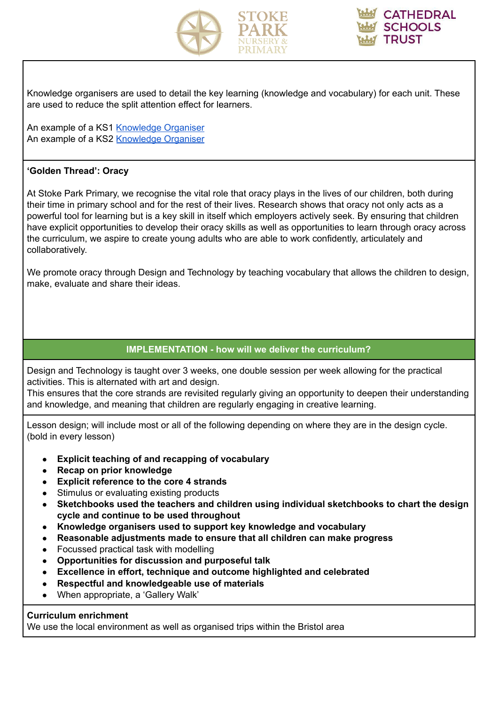



Knowledge organisers are used to detail the key learning (knowledge and vocabulary) for each unit. These are used to reduce the split attention effect for learners.

An example of a KS1 [Knowledge](https://drive.google.com/file/d/1i3L3ik65_cwWSf4nyl22LpSQKrMKJmf9/view?usp=sharing) Organiser An example of a KS2 [Knowledge](https://drive.google.com/file/d/1QDO1dpFJ3ODIYOaXT23OthYVJEU_2C0m/view?usp=sharing) Organiser

#### **'Golden Thread': Oracy**

At Stoke Park Primary, we recognise the vital role that oracy plays in the lives of our children, both during their time in primary school and for the rest of their lives. Research shows that oracy not only acts as a powerful tool for learning but is a key skill in itself which employers actively seek. By ensuring that children have explicit opportunities to develop their oracy skills as well as opportunities to learn through oracy across the curriculum, we aspire to create young adults who are able to work confidently, articulately and collaboratively.

We promote oracy through Design and Technology by teaching vocabulary that allows the children to design, make, evaluate and share their ideas.

## **IMPLEMENTATION - how will we deliver the curriculum?**

Design and Technology is taught over 3 weeks, one double session per week allowing for the practical activities. This is alternated with art and design.

This ensures that the core strands are revisited regularly giving an opportunity to deepen their understanding and knowledge, and meaning that children are regularly engaging in creative learning.

Lesson design; will include most or all of the following depending on where they are in the design cycle. (bold in every lesson)

- **● Explicit teaching of and recapping of vocabulary**
- **● Recap on prior knowledge**
- **● Explicit reference to the core 4 strands**
- Stimulus or evaluating existing products
- **● Sketchbooks used the teachers and children using individual sketchbooks to chart the design cycle and continue to be used throughout**
- **Knowledge organisers used to support key knowledge and vocabulary**
- **Reasonable adjustments made to ensure that all children can make progress**
- Focussed practical task with modelling
- **● Opportunities for discussion and purposeful talk**
- **● Excellence in effort, technique and outcome highlighted and celebrated**
- **● Respectful and knowledgeable use of materials**
- When appropriate, a 'Gallery Walk'

#### **Curriculum enrichment**

We use the local environment as well as organised trips within the Bristol area